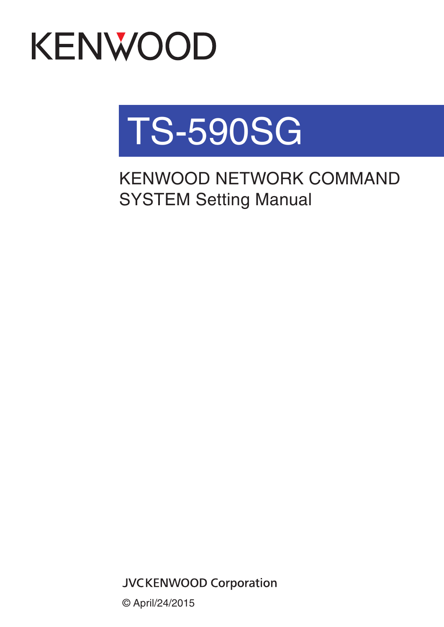# KENWOOD

# TS-590SG

KENWOOD NETWORK COMMAND SYSTEM Setting Manual

**JVCKENWOOD Corporation** 

© April/24/2015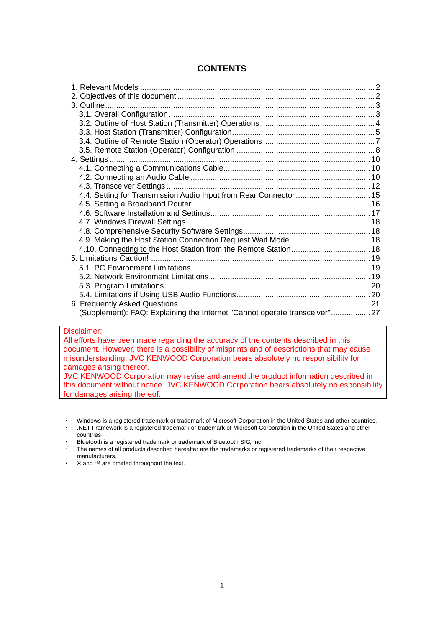| <b>CONTENTS</b> |  |
|-----------------|--|
|-----------------|--|

| 4.4. Setting for Transmission Audio Input from Rear Connector  15         |  |
|---------------------------------------------------------------------------|--|
|                                                                           |  |
|                                                                           |  |
|                                                                           |  |
|                                                                           |  |
|                                                                           |  |
|                                                                           |  |
|                                                                           |  |
|                                                                           |  |
|                                                                           |  |
|                                                                           |  |
|                                                                           |  |
|                                                                           |  |
| (Supplement): FAQ: Explaining the Internet "Cannot operate transceiver"27 |  |

#### Disclaimer:

All efforts have been made regarding the accuracy of the contents described in this document. However, there is a possibility of misprints and of descriptions that may cause misunderstanding. JVC KENWOOD Corporation bears absolutely no responsibility for damages arising thereof.

JVC KENWOOD Corporation may revise and amend the product information described in this document without notice. JVC KENWOOD Corporation bears absolutely no esponsibility for damages arising thereof.

- ・ Windows is a registered trademark or trademark of Microsoft Corporation in the United States and other countries.
- .NET Framework is a registered trademark or trademark of Microsoft Corporation in the United States and other countries
- Bluetooth is a registered trademark or trademark of Bluetooth SIG, Inc.
- The names of all products described hereafter are the trademarks or registered trademarks of their respective manufacturers.
- ・ ® and ™ are omitted throughout the text.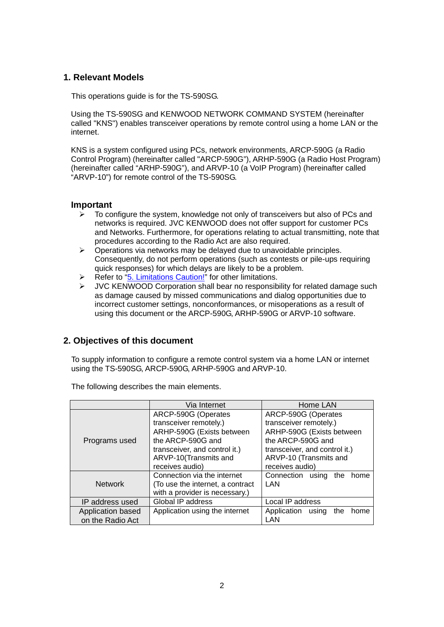## <span id="page-2-0"></span>**1. Relevant Models**

This operations guide is for the TS-590SG.

Using the TS-590SG and KENWOOD NETWORK COMMAND SYSTEM (hereinafter called "KNS") enables transceiver operations by remote control using a home LAN or the internet.

KNS is a system configured using PCs, network environments, ARCP-590G (a Radio Control Program) (hereinafter called "ARCP-590G"), ARHP-590G (a Radio Host Program) (hereinafter called "ARHP-590G"), and ARVP-10 (a VoIP Program) (hereinafter called "ARVP-10") for remote control of the TS-590SG.

### **Important**

- $\triangleright$  To configure the system, knowledge not only of transceivers but also of PCs and networks is required. JVC KENWOOD does not offer support for customer PCs and Networks. Furthermore, for operations relating to actual transmitting, note that procedures according to the Radio Act are also required.
- $\triangleright$  Operations via networks may be delayed due to unavoidable principles. Consequently, do not perform operations (such as contests or pile-ups requiring quick responses) for which delays are likely to be a problem.
- ▶ Refer to ["5. Limitations Caution!"](#page-19-0) for other limitations.
- $\triangleright$  JVC KENWOOD Corporation shall bear no responsibility for related damage such as damage caused by missed communications and dialog opportunities due to incorrect customer settings, nonconformances, or misoperations as a result of using this document or the ARCP-590G, ARHP-590G or ARVP-10 software.

## <span id="page-2-1"></span>**2. Objectives of this document**

To supply information to configure a remote control system via a home LAN or internet using the TS-590SG, ARCP-590G, ARHP-590G and ARVP-10.

|                   | Via Internet                     | Home LAN                         |  |
|-------------------|----------------------------------|----------------------------------|--|
|                   | ARCP-590G (Operates              | ARCP-590G (Operates              |  |
|                   | transceiver remotely.)           | transceiver remotely.)           |  |
|                   | ARHP-590G (Exists between        | ARHP-590G (Exists between        |  |
| Programs used     | the ARCP-590G and                | the ARCP-590G and                |  |
|                   | transceiver, and control it.)    | transceiver, and control it.)    |  |
|                   | ARVP-10(Transmits and            | ARVP-10 (Transmits and           |  |
|                   | receives audio)                  | receives audio)                  |  |
|                   | Connection via the internet      | Connection using<br>the<br>home  |  |
| <b>Network</b>    | (To use the internet, a contract | LAN                              |  |
|                   | with a provider is necessary.)   |                                  |  |
| IP address used   | Global IP address                | Local IP address                 |  |
| Application based | Application using the internet   | Application using<br>the<br>home |  |
| on the Radio Act  |                                  | LAN                              |  |

The following describes the main elements.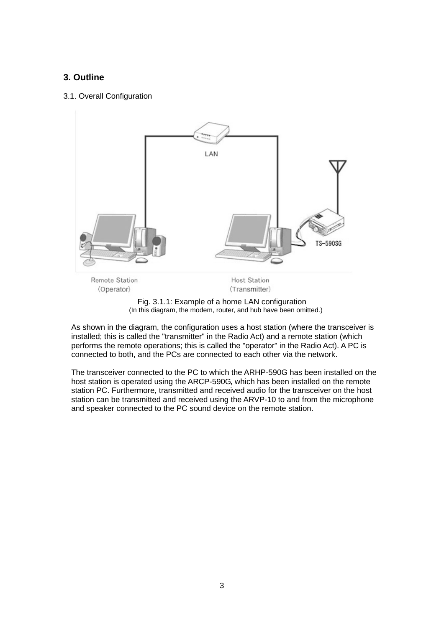## <span id="page-3-0"></span>**3. Outline**

### <span id="page-3-1"></span>3.1. Overall Configuration



Fig. 3.1.1: Example of a home LAN configuration (In this diagram, the modem, router, and hub have been omitted.)

As shown in the diagram, the configuration uses a host station (where the transceiver is installed; this is called the "transmitter" in the Radio Act) and a remote station (which performs the remote operations; this is called the "operator" in the Radio Act). A PC is connected to both, and the PCs are connected to each other via the network.

The transceiver connected to the PC to which the ARHP-590G has been installed on the host station is operated using the ARCP-590G, which has been installed on the remote station PC. Furthermore, transmitted and received audio for the transceiver on the host station can be transmitted and received using the ARVP-10 to and from the microphone and speaker connected to the PC sound device on the remote station.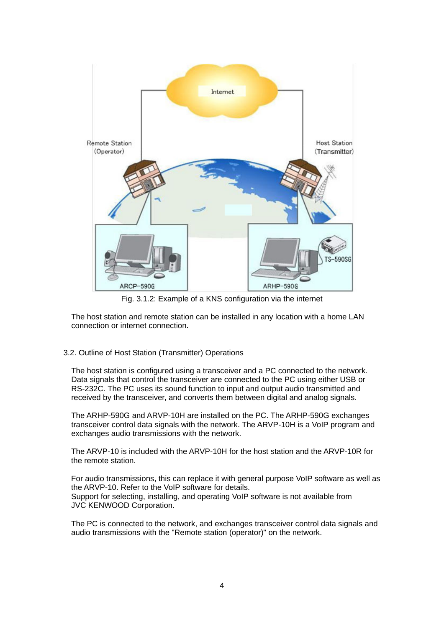

Fig. 3.1.2: Example of a KNS configuration via the internet

The host station and remote station can be installed in any location with a home LAN connection or internet connection.

#### <span id="page-4-0"></span>3.2. Outline of Host Station (Transmitter) Operations

The host station is configured using a transceiver and a PC connected to the network. Data signals that control the transceiver are connected to the PC using either USB or RS-232C. The PC uses its sound function to input and output audio transmitted and received by the transceiver, and converts them between digital and analog signals.

The ARHP-590G and ARVP-10H are installed on the PC. The ARHP-590G exchanges transceiver control data signals with the network. The ARVP-10H is a VoIP program and exchanges audio transmissions with the network.

The ARVP-10 is included with the ARVP-10H for the host station and the ARVP-10R for the remote station.

For audio transmissions, this can replace it with general purpose VoIP software as well as the ARVP-10. Refer to the VoIP software for details. Support for selecting, installing, and operating VoIP software is not available from JVC KENWOOD Corporation.

The PC is connected to the network, and exchanges transceiver control data signals and audio transmissions with the "Remote station (operator)" on the network.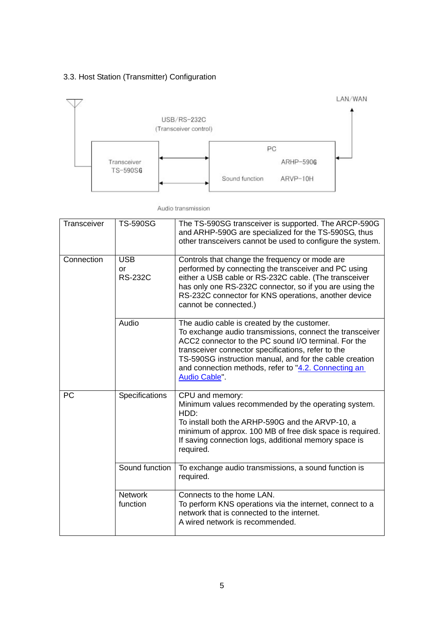# <span id="page-5-0"></span>3.3. Host Station (Transmitter) Configuration



Audio transmission

| Transceiver | <b>TS-590SG</b>                    | The TS-590SG transceiver is supported. The ARCP-590G<br>and ARHP-590G are specialized for the TS-590SG, thus<br>other transceivers cannot be used to configure the system.                                                                                                                                                                                      |
|-------------|------------------------------------|-----------------------------------------------------------------------------------------------------------------------------------------------------------------------------------------------------------------------------------------------------------------------------------------------------------------------------------------------------------------|
| Connection  | <b>USB</b><br>or<br><b>RS-232C</b> | Controls that change the frequency or mode are<br>performed by connecting the transceiver and PC using<br>either a USB cable or RS-232C cable. (The transceiver<br>has only one RS-232C connector, so if you are using the<br>RS-232C connector for KNS operations, another device<br>cannot be connected.)                                                     |
|             | Audio                              | The audio cable is created by the customer.<br>To exchange audio transmissions, connect the transceiver<br>ACC2 connector to the PC sound I/O terminal. For the<br>transceiver connector specifications, refer to the<br>TS-590SG instruction manual, and for the cable creation<br>and connection methods, refer to "4.2. Connecting an<br><b>Audio Cable"</b> |
| <b>PC</b>   | Specifications                     | CPU and memory:<br>Minimum values recommended by the operating system.<br>HDD:<br>To install both the ARHP-590G and the ARVP-10, a<br>minimum of approx. 100 MB of free disk space is required.<br>If saving connection logs, additional memory space is<br>required.                                                                                           |
|             | Sound function                     | To exchange audio transmissions, a sound function is<br>required.                                                                                                                                                                                                                                                                                               |
|             | <b>Network</b><br>function         | Connects to the home LAN.<br>To perform KNS operations via the internet, connect to a<br>network that is connected to the internet.<br>A wired network is recommended.                                                                                                                                                                                          |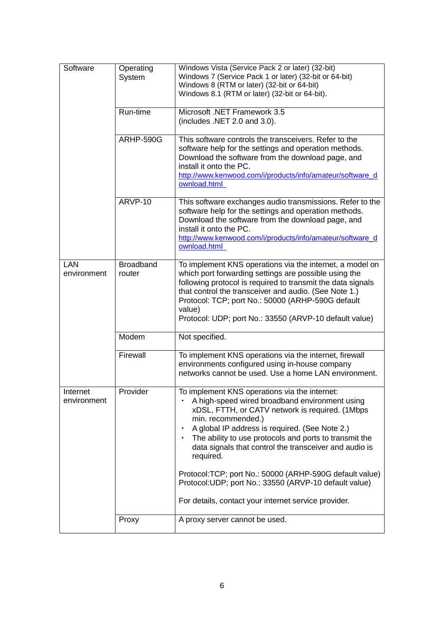| Software                  | Operating<br>System        | Windows Vista (Service Pack 2 or later) (32-bit)<br>Windows 7 (Service Pack 1 or later) (32-bit or 64-bit)<br>Windows 8 (RTM or later) (32-bit or 64-bit)<br>Windows 8.1 (RTM or later) (32-bit or 64-bit).                                                                                                                                                                                                                                                                                                                                        |
|---------------------------|----------------------------|----------------------------------------------------------------------------------------------------------------------------------------------------------------------------------------------------------------------------------------------------------------------------------------------------------------------------------------------------------------------------------------------------------------------------------------------------------------------------------------------------------------------------------------------------|
|                           | Run-time                   | Microsoft .NET Framework 3.5<br>(includes .NET 2.0 and 3.0).                                                                                                                                                                                                                                                                                                                                                                                                                                                                                       |
|                           | <b>ARHP-590G</b>           | This software controls the transceivers. Refer to the<br>software help for the settings and operation methods.<br>Download the software from the download page, and<br>install it onto the PC.<br>http://www.kenwood.com/i/products/info/amateur/software_d<br>ownload.html                                                                                                                                                                                                                                                                        |
|                           | ARVP-10                    | This software exchanges audio transmissions. Refer to the<br>software help for the settings and operation methods.<br>Download the software from the download page, and<br>install it onto the PC.<br>http://www.kenwood.com/i/products/info/amateur/software_d<br>ownload.html                                                                                                                                                                                                                                                                    |
| <b>LAN</b><br>environment | <b>Broadband</b><br>router | To implement KNS operations via the internet, a model on<br>which port forwarding settings are possible using the<br>following protocol is required to transmit the data signals<br>that control the transceiver and audio. (See Note 1.)<br>Protocol: TCP; port No.: 50000 (ARHP-590G default<br>value)<br>Protocol: UDP; port No.: 33550 (ARVP-10 default value)                                                                                                                                                                                 |
|                           | Modem                      | Not specified.                                                                                                                                                                                                                                                                                                                                                                                                                                                                                                                                     |
|                           | Firewall                   | To implement KNS operations via the internet, firewall<br>environments configured using in-house company<br>networks cannot be used. Use a home LAN environment.                                                                                                                                                                                                                                                                                                                                                                                   |
| Internet<br>environment   | Provider                   | To implement KNS operations via the internet:<br>A high-speed wired broadband environment using<br>xDSL, FTTH, or CATV network is required. (1Mbps<br>min. recommended.)<br>A global IP address is required. (See Note 2.)<br>٠<br>The ability to use protocols and ports to transmit the<br>٠<br>data signals that control the transceiver and audio is<br>required.<br>Protocol:TCP; port No.: 50000 (ARHP-590G default value)<br>Protocol: UDP; port No.: 33550 (ARVP-10 default value)<br>For details, contact your internet service provider. |
|                           | Proxy                      | A proxy server cannot be used.                                                                                                                                                                                                                                                                                                                                                                                                                                                                                                                     |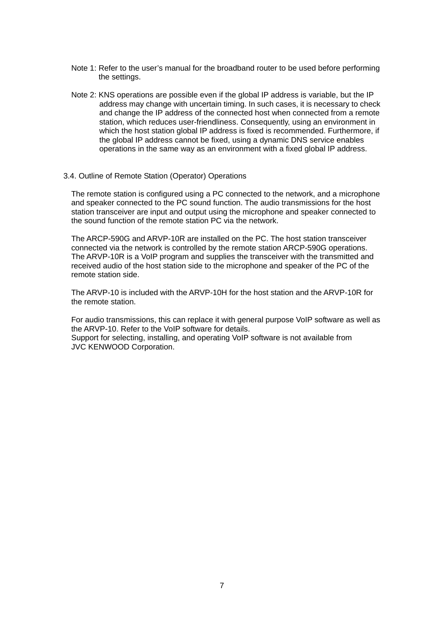- Note 1: Refer to the user's manual for the broadband router to be used before performing the settings.
- Note 2: KNS operations are possible even if the global IP address is variable, but the IP address may change with uncertain timing. In such cases, it is necessary to check and change the IP address of the connected host when connected from a remote station, which reduces user-friendliness. Consequently, using an environment in which the host station global IP address is fixed is recommended. Furthermore, if the global IP address cannot be fixed, using a dynamic DNS service enables operations in the same way as an environment with a fixed global IP address.

#### <span id="page-7-0"></span>3.4. Outline of Remote Station (Operator) Operations

The remote station is configured using a PC connected to the network, and a microphone and speaker connected to the PC sound function. The audio transmissions for the host station transceiver are input and output using the microphone and speaker connected to the sound function of the remote station PC via the network.

The ARCP-590G and ARVP-10R are installed on the PC. The host station transceiver connected via the network is controlled by the remote station ARCP-590G operations. The ARVP-10R is a VoIP program and supplies the transceiver with the transmitted and received audio of the host station side to the microphone and speaker of the PC of the remote station side.

The ARVP-10 is included with the ARVP-10H for the host station and the ARVP-10R for the remote station.

For audio transmissions, this can replace it with general purpose VoIP software as well as the ARVP-10. Refer to the VoIP software for details.

Support for selecting, installing, and operating VoIP software is not available from JVC KENWOOD Corporation.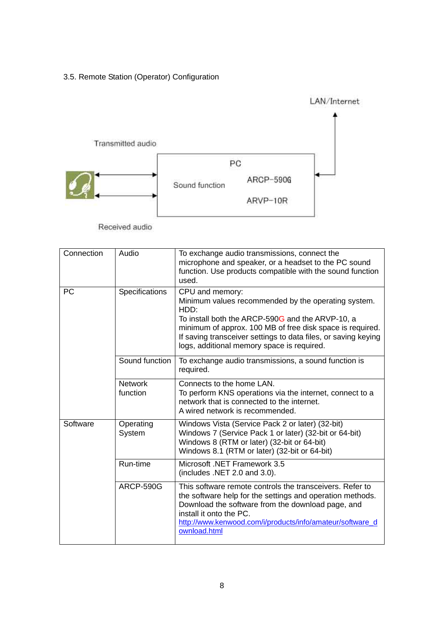# <span id="page-8-0"></span>3.5. Remote Station (Operator) Configuration





Received audio

| Connection | Audio                      | To exchange audio transmissions, connect the<br>microphone and speaker, or a headset to the PC sound<br>function. Use products compatible with the sound function<br>used.                                                                                                                                      |  |
|------------|----------------------------|-----------------------------------------------------------------------------------------------------------------------------------------------------------------------------------------------------------------------------------------------------------------------------------------------------------------|--|
| <b>PC</b>  | Specifications             | CPU and memory:<br>Minimum values recommended by the operating system.<br>HDD:<br>To install both the ARCP-590G and the ARVP-10, a<br>minimum of approx. 100 MB of free disk space is required.<br>If saving transceiver settings to data files, or saving keying<br>logs, additional memory space is required. |  |
|            | Sound function             | To exchange audio transmissions, a sound function is<br>required.                                                                                                                                                                                                                                               |  |
|            | <b>Network</b><br>function | Connects to the home LAN.<br>To perform KNS operations via the internet, connect to a<br>network that is connected to the internet.<br>A wired network is recommended.                                                                                                                                          |  |
| Software   | Operating<br>System        | Windows Vista (Service Pack 2 or later) (32-bit)<br>Windows 7 (Service Pack 1 or later) (32-bit or 64-bit)<br>Windows 8 (RTM or later) (32-bit or 64-bit)<br>Windows 8.1 (RTM or later) (32-bit or 64-bit)                                                                                                      |  |
|            | Run-time                   | Microsoft .NET Framework 3.5<br>(includes .NET 2.0 and 3.0).                                                                                                                                                                                                                                                    |  |
|            | <b>ARCP-590G</b>           | This software remote controls the transceivers. Refer to<br>the software help for the settings and operation methods.<br>Download the software from the download page, and<br>install it onto the PC.<br>http://www.kenwood.com/i/products/info/amateur/software_d<br>ownload.html                              |  |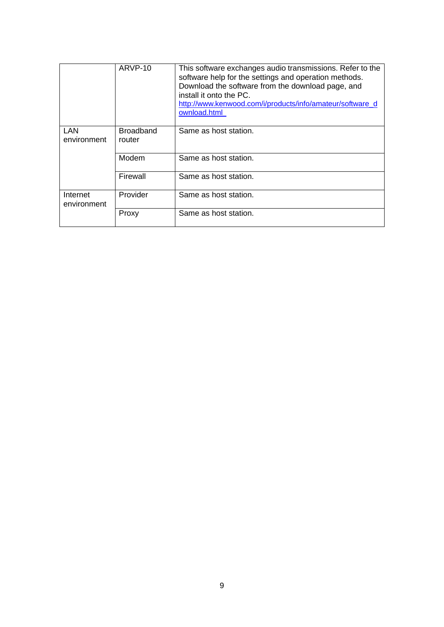|                         | ARVP-10                    | This software exchanges audio transmissions. Refer to the<br>software help for the settings and operation methods.<br>Download the software from the download page, and<br>install it onto the PC.<br>http://www.kenwood.com/i/products/info/amateur/software_d<br>ownload.html |
|-------------------------|----------------------------|---------------------------------------------------------------------------------------------------------------------------------------------------------------------------------------------------------------------------------------------------------------------------------|
| LAN<br>environment      | <b>Broadband</b><br>router | Same as host station.                                                                                                                                                                                                                                                           |
|                         | Modem                      | Same as host station.                                                                                                                                                                                                                                                           |
|                         | Firewall                   | Same as host station.                                                                                                                                                                                                                                                           |
| Internet<br>environment | Provider                   | Same as host station.                                                                                                                                                                                                                                                           |
|                         | Proxy                      | Same as host station.                                                                                                                                                                                                                                                           |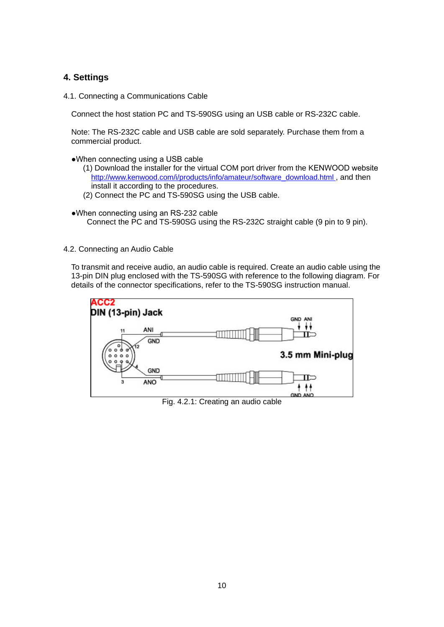## <span id="page-10-0"></span>**4. Settings**

<span id="page-10-1"></span>4.1. Connecting a Communications Cable

Connect the host station PC and TS-590SG using an USB cable or RS-232C cable.

Note: The RS-232C cable and USB cable are sold separately. Purchase them from a commercial product.

- ●When connecting using a USB cable
	- (1) Download the installer for the virtual COM port driver from the KENWOOD website http://www.kenwood.com/i/products/info/amateur/software\_download.html, and then install it according to the procedures.
	- (2) Connect the PC and TS-590SG using the USB cable.
- ●When connecting using an RS-232 cable Connect the PC and TS-590SG using the RS-232C straight cable (9 pin to 9 pin).
- <span id="page-10-2"></span>4.2. Connecting an Audio Cable

To transmit and receive audio, an audio cable is required. Create an audio cable using the 13-pin DIN plug enclosed with the TS-590SG with reference to the following diagram. For details of the connector specifications, refer to the TS-590SG instruction manual.



Fig. 4.2.1: Creating an audio cable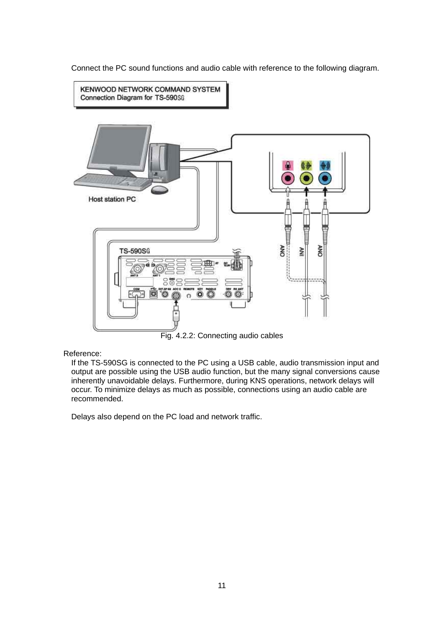

Connect the PC sound functions and audio cable with reference to the following diagram.

Fig. 4.2.2: Connecting audio cables

Reference:

If the TS-590SG is connected to the PC using a USB cable, audio transmission input and output are possible using the USB audio function, but the many signal conversions cause inherently unavoidable delays. Furthermore, during KNS operations, network delays will occur. To minimize delays as much as possible, connections using an audio cable are recommended.

Delays also depend on the PC load and network traffic.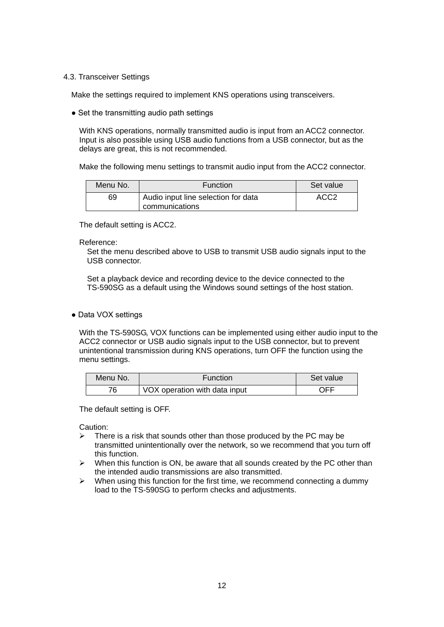#### <span id="page-12-0"></span>4.3. Transceiver Settings

Make the settings required to implement KNS operations using transceivers.

• Set the transmitting audio path settings

With KNS operations, normally transmitted audio is input from an ACC2 connector. Input is also possible using USB audio functions from a USB connector, but as the delays are great, this is not recommended.

Make the following menu settings to transmit audio input from the ACC2 connector.

| Menu No. | <b>Function</b>                     | Set value        |
|----------|-------------------------------------|------------------|
| 69       | Audio input line selection for data | ACC <sub>2</sub> |
|          | communications                      |                  |

The default setting is ACC2.

#### Reference:

Set the menu described above to USB to transmit USB audio signals input to the USB connector.

Set a playback device and recording device to the device connected to the TS-590SG as a default using the Windows sound settings of the host station.

● Data VOX settings

With the TS-590SG, VOX functions can be implemented using either audio input to the ACC2 connector or USB audio signals input to the USB connector, but to prevent unintentional transmission during KNS operations, turn OFF the function using the menu settings.

| Menu No. | Function                      | Set value |
|----------|-------------------------------|-----------|
| 76       | VOX operation with data input | OFF       |

The default setting is OFF.

Caution:

- $\triangleright$  There is a risk that sounds other than those produced by the PC may be transmitted unintentionally over the network, so we recommend that you turn off this function.
- $\triangleright$  When this function is ON, be aware that all sounds created by the PC other than the intended audio transmissions are also transmitted.
- $\triangleright$  When using this function for the first time, we recommend connecting a dummy load to the TS-590SG to perform checks and adjustments.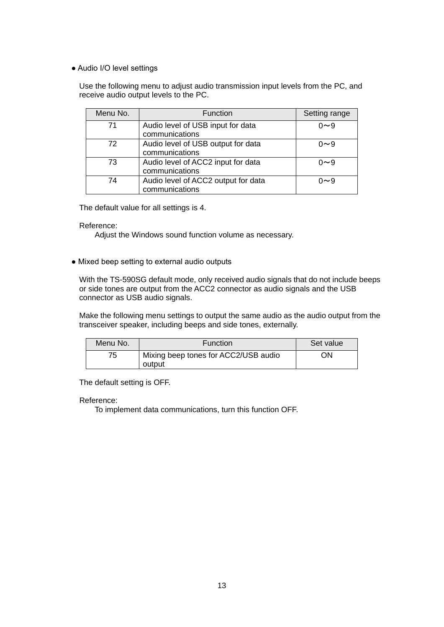● Audio I/O level settings

Use the following menu to adjust audio transmission input levels from the PC, and receive audio output levels to the PC.

| Menu No. | <b>Function</b>                                       | Setting range |
|----------|-------------------------------------------------------|---------------|
| 71       | Audio level of USB input for data<br>communications   | $0 - 9$       |
| 72       | Audio level of USB output for data<br>communications  | $0 - 9$       |
| 73       | Audio level of ACC2 input for data<br>communications  | $0 - 9$       |
| 74       | Audio level of ACC2 output for data<br>communications | $0\sim9$      |

The default value for all settings is 4.

#### Reference:

Adjust the Windows sound function volume as necessary.

● Mixed beep setting to external audio outputs

With the TS-590SG default mode, only received audio signals that do not include beeps or side tones are output from the ACC2 connector as audio signals and the USB connector as USB audio signals.

Make the following menu settings to output the same audio as the audio output from the transceiver speaker, including beeps and side tones, externally.

| Menu No. | <b>Function</b>                      | Set value |
|----------|--------------------------------------|-----------|
| 75       | Mixing beep tones for ACC2/USB audio | ΟN        |
|          | output                               |           |

The default setting is OFF.

Reference:

To implement data communications, turn this function OFF.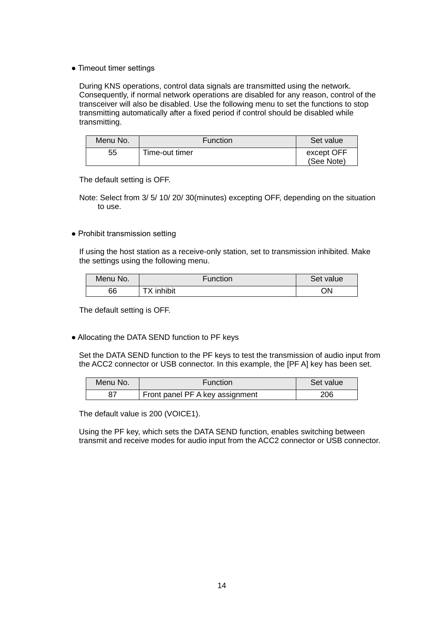#### • Timeout timer settings

During KNS operations, control data signals are transmitted using the network. Consequently, if normal network operations are disabled for any reason, control of the transceiver will also be disabled. Use the following menu to set the functions to stop transmitting automatically after a fixed period if control should be disabled while transmitting.

| Menu No. | Function       | Set value                |
|----------|----------------|--------------------------|
| 55       | Time-out timer | except OFF<br>(See Note) |

The default setting is OFF.

Note: Select from 3/ 5/ 10/ 20/ 30(minutes) excepting OFF, depending on the situation to use.

• Prohibit transmission setting

If using the host station as a receive-only station, set to transmission inhibited. Make the settings using the following menu.

| Menu No. | <b>Function</b> | Set value |
|----------|-----------------|-----------|
| 66       | TX inhibit      | ОN        |

The default setting is OFF.

• Allocating the DATA SEND function to PF keys

Set the DATA SEND function to the PF keys to test the transmission of audio input from the ACC2 connector or USB connector. In this example, the [PF A] key has been set.

| Menu No. | <b>Function</b>                 | Set value |
|----------|---------------------------------|-----------|
| 87       | Front panel PF A key assignment | 206       |

The default value is 200 (VOICE1).

Using the PF key, which sets the DATA SEND function, enables switching between transmit and receive modes for audio input from the ACC2 connector or USB connector.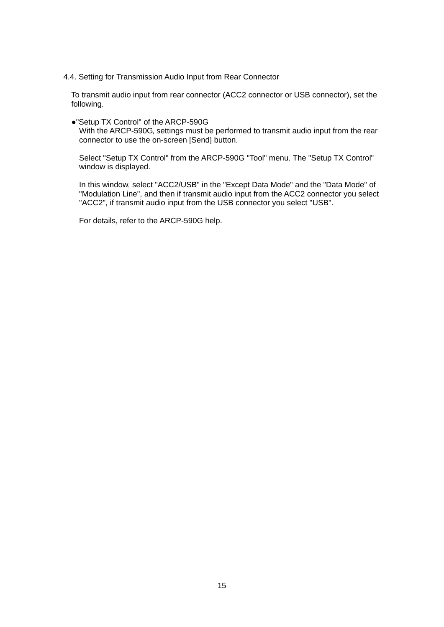<span id="page-15-0"></span>4.4. Setting for Transmission Audio Input from Rear Connector

To transmit audio input from rear connector (ACC2 connector or USB connector), set the following.

●"Setup TX Control" of the ARCP-590G

With the ARCP-590G, settings must be performed to transmit audio input from the rear connector to use the on-screen [Send] button.

Select "Setup TX Control" from the ARCP-590G "Tool" menu. The "Setup TX Control" window is displayed.

In this window, select "ACC2/USB" in the "Except Data Mode" and the "Data Mode" of "Modulation Line", and then if transmit audio input from the ACC2 connector you select "ACC2", if transmit audio input from the USB connector you select "USB".

For details, refer to the ARCP-590G help.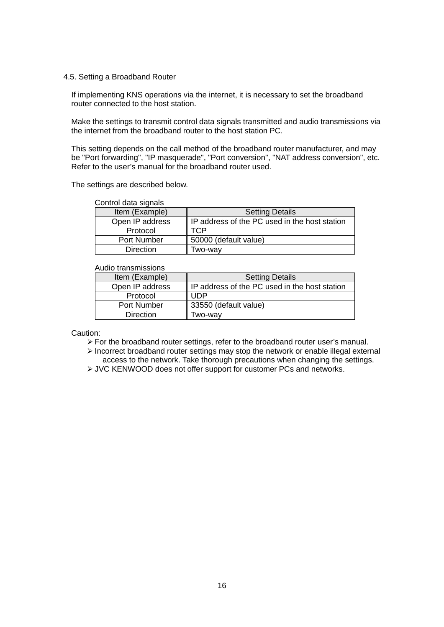#### <span id="page-16-0"></span>4.5. Setting a Broadband Router

If implementing KNS operations via the internet, it is necessary to set the broadband router connected to the host station.

Make the settings to transmit control data signals transmitted and audio transmissions via the internet from the broadband router to the host station PC.

This setting depends on the call method of the broadband router manufacturer, and may be "Port forwarding", "IP masquerade", "Port conversion", "NAT address conversion", etc. Refer to the user's manual for the broadband router used.

The settings are described below.

| Control data signals |                                               |
|----------------------|-----------------------------------------------|
| Item (Example)       | Setting Details                               |
| Open IP address      | IP address of the PC used in the host station |
| Protocol             | TCP                                           |
| Port Number          | 50000 (default value)                         |
| <b>Direction</b>     | Two-wav                                       |

Audio transmissions

| Item (Example)   | <b>Setting Details</b>                        |
|------------------|-----------------------------------------------|
| Open IP address  | IP address of the PC used in the host station |
| Protocol         | UDP                                           |
| Port Number      | 33550 (default value)                         |
| <b>Direction</b> | Two-way                                       |
|                  |                                               |

Caution:

- For the broadband router settings, refer to the broadband router user's manual.
- $\triangleright$  Incorrect broadband router settings may stop the network or enable illegal external access to the network. Take thorough precautions when changing the settings.
- JVC KENWOOD does not offer support for customer PCs and networks.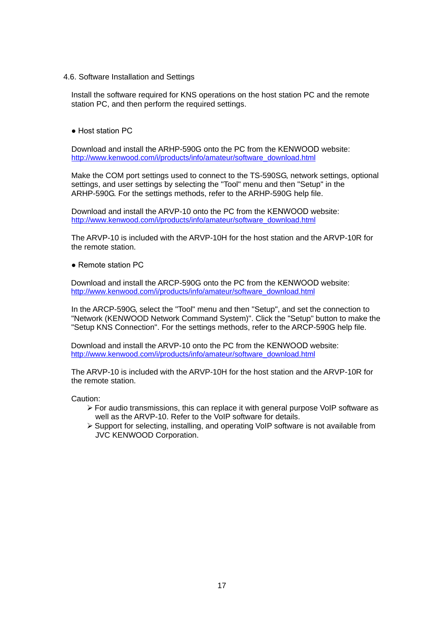<span id="page-17-0"></span>4.6. Software Installation and Settings

Install the software required for KNS operations on the host station PC and the remote station PC, and then perform the required settings.

● Host station PC

Download and install the ARHP-590G onto the PC from the KENWOOD website: [http://www.kenwood.com/i/products/info/amateur/software\\_download.html](http://www.kenwood.com/i/products/info/amateur/software_download.html)

Make the COM port settings used to connect to the TS-590SG, network settings, optional settings, and user settings by selecting the "Tool" menu and then "Setup" in the ARHP-590G. For the settings methods, refer to the ARHP-590G help file.

Download and install the ARVP-10 onto the PC from the KENWOOD website: [http://www.kenwood.com/i/products/info/amateur/software\\_download.html](http://www.kenwood.com/i/products/info/amateur/software_download.html)

The ARVP-10 is included with the ARVP-10H for the host station and the ARVP-10R for the remote station.

● Remote station PC

Download and install the ARCP-590G onto the PC from the KENWOOD website: http://www.kenwood.com/i/products/info/amateur/software\_download.html

In the ARCP-590G, select the "Tool" menu and then "Setup", and set the connection to "Network (KENWOOD Network Command System)". Click the "Setup" button to make the "Setup KNS Connection". For the settings methods, refer to the ARCP-590G help file.

Download and install the ARVP-10 onto the PC from the KENWOOD website: http://www.kenwood.com/i/products/info/amateur/software\_download.html

The ARVP-10 is included with the ARVP-10H for the host station and the ARVP-10R for the remote station.

Caution:

- For audio transmissions, this can replace it with general purpose VoIP software as well as the ARVP-10. Refer to the VoIP software for details.
- $\triangleright$  Support for selecting, installing, and operating VoIP software is not available from JVC KENWOOD Corporation.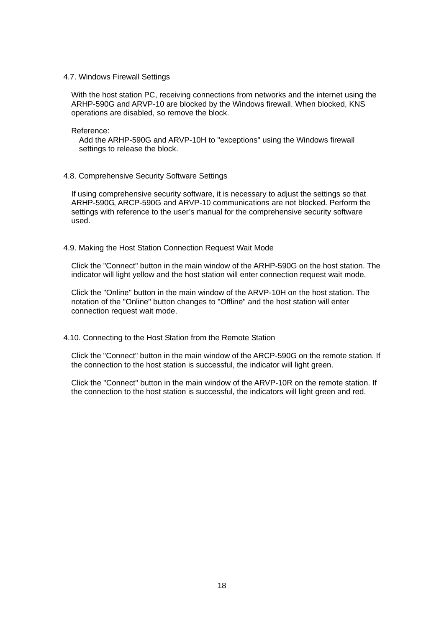#### <span id="page-18-0"></span>4.7. Windows Firewall Settings

With the host station PC, receiving connections from networks and the internet using the ARHP-590G and ARVP-10 are blocked by the Windows firewall. When blocked, KNS operations are disabled, so remove the block.

Reference:

Add the ARHP-590G and ARVP-10H to "exceptions" using the Windows firewall settings to release the block.

#### <span id="page-18-1"></span>4.8. Comprehensive Security Software Settings

If using comprehensive security software, it is necessary to adjust the settings so that ARHP-590G, ARCP-590G and ARVP-10 communications are not blocked. Perform the settings with reference to the user's manual for the comprehensive security software used.

#### <span id="page-18-2"></span>4.9. Making the Host Station Connection Request Wait Mode

Click the "Connect" button in the main window of the ARHP-590G on the host station. The indicator will light yellow and the host station will enter connection request wait mode.

Click the "Online" button in the main window of the ARVP-10H on the host station. The notation of the "Online" button changes to "Offline" and the host station will enter connection request wait mode.

#### <span id="page-18-3"></span>4.10. Connecting to the Host Station from the Remote Station

Click the "Connect" button in the main window of the ARCP-590G on the remote station. If the connection to the host station is successful, the indicator will light green.

Click the "Connect" button in the main window of the ARVP-10R on the remote station. If the connection to the host station is successful, the indicators will light green and red.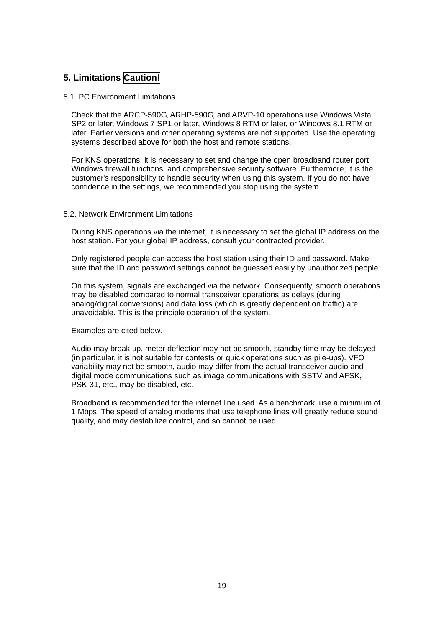# <span id="page-19-0"></span>**5. Limitations Caution!**

#### <span id="page-19-1"></span>5.1. PC Environment Limitations

Check that the ARCP-590G, ARHP-590G, and ARVP-10 operations use Windows Vista SP2 or later, Windows 7 SP1 or later, Windows 8 RTM or later, or Windows 8.1 RTM or later. Earlier versions and other operating systems are not supported. Use the operating systems described above for both the host and remote stations.

For KNS operations, it is necessary to set and change the open broadband router port, Windows firewall functions, and comprehensive security software. Furthermore, it is the customer's responsibility to handle security when using this system. If you do not have confidence in the settings, we recommended you stop using the system.

#### <span id="page-19-2"></span>5.2. Network Environment Limitations

During KNS operations via the internet, it is necessary to set the global IP address on the host station. For your global IP address, consult your contracted provider.

Only registered people can access the host station using their ID and password. Make sure that the ID and password settings cannot be guessed easily by unauthorized people.

On this system, signals are exchanged via the network. Consequently, smooth operations may be disabled compared to normal transceiver operations as delays (during analog/digital conversions) and data loss (which is greatly dependent on traffic) are unavoidable. This is the principle operation of the system.

Examples are cited below.

Audio may break up, meter deflection may not be smooth, standby time may be delayed (in particular, it is not suitable for contests or quick operations such as pile-ups). VFO variability may not be smooth, audio may differ from the actual transceiver audio and digital mode communications such as image communications with SSTV and AFSK, PSK-31, etc., may be disabled, etc.

Broadband is recommended for the internet line used. As a benchmark, use a minimum of 1 Mbps. The speed of analog modems that use telephone lines will greatly reduce sound quality, and may destabilize control, and so cannot be used.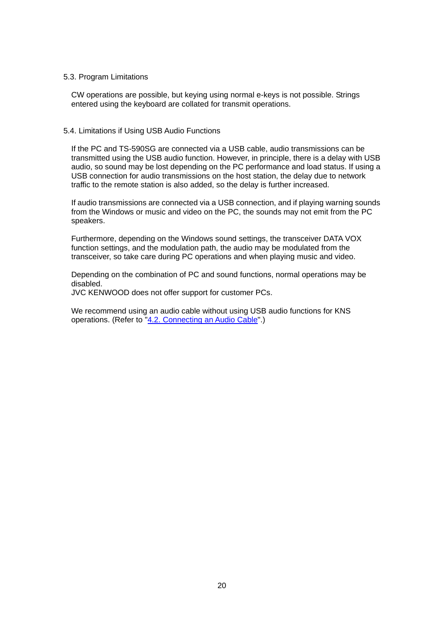#### <span id="page-20-0"></span>5.3. Program Limitations

CW operations are possible, but keying using normal e-keys is not possible. Strings entered using the keyboard are collated for transmit operations.

#### <span id="page-20-1"></span>5.4. Limitations if Using USB Audio Functions

If the PC and TS-590SG are connected via a USB cable, audio transmissions can be transmitted using the USB audio function. However, in principle, there is a delay with USB audio, so sound may be lost depending on the PC performance and load status. If using a USB connection for audio transmissions on the host station, the delay due to network traffic to the remote station is also added, so the delay is further increased.

If audio transmissions are connected via a USB connection, and if playing warning sounds from the Windows or music and video on the PC, the sounds may not emit from the PC speakers.

Furthermore, depending on the Windows sound settings, the transceiver DATA VOX function settings, and the modulation path, the audio may be modulated from the transceiver, so take care during PC operations and when playing music and video.

Depending on the combination of PC and sound functions, normal operations may be disabled.

JVC KENWOOD does not offer support for customer PCs.

We recommend using an audio cable without using USB audio functions for KNS operations. (Refer to ["4.2. Connecting an Audio Cable"](#page-10-2).)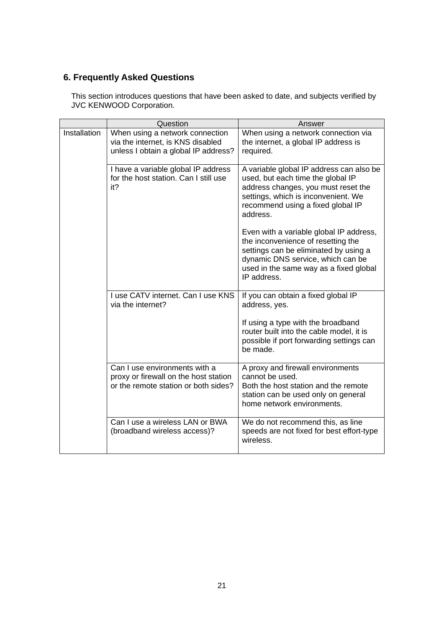# <span id="page-21-0"></span>**6. Frequently Asked Questions**

This section introduces questions that have been asked to date, and subjects verified by JVC KENWOOD Corporation.

|              | Question                                                                                                       | Answer                                                                                                                                                                                                               |
|--------------|----------------------------------------------------------------------------------------------------------------|----------------------------------------------------------------------------------------------------------------------------------------------------------------------------------------------------------------------|
| Installation | When using a network connection<br>via the internet, is KNS disabled<br>unless I obtain a global IP address?   | When using a network connection via<br>the internet, a global IP address is<br>required.                                                                                                                             |
|              | I have a variable global IP address<br>for the host station. Can I still use<br>it?                            | A variable global IP address can also be<br>used, but each time the global IP<br>address changes, you must reset the<br>settings, which is inconvenient. We<br>recommend using a fixed global IP<br>address.         |
|              |                                                                                                                | Even with a variable global IP address,<br>the inconvenience of resetting the<br>settings can be eliminated by using a<br>dynamic DNS service, which can be<br>used in the same way as a fixed global<br>IP address. |
|              | I use CATV internet. Can I use KNS<br>via the internet?                                                        | If you can obtain a fixed global IP<br>address, yes.                                                                                                                                                                 |
|              |                                                                                                                | If using a type with the broadband<br>router built into the cable model, it is<br>possible if port forwarding settings can<br>be made.                                                                               |
|              | Can I use environments with a<br>proxy or firewall on the host station<br>or the remote station or both sides? | A proxy and firewall environments<br>cannot be used.<br>Both the host station and the remote<br>station can be used only on general<br>home network environments.                                                    |
|              | Can I use a wireless LAN or BWA<br>(broadband wireless access)?                                                | We do not recommend this, as line<br>speeds are not fixed for best effort-type<br>wireless.                                                                                                                          |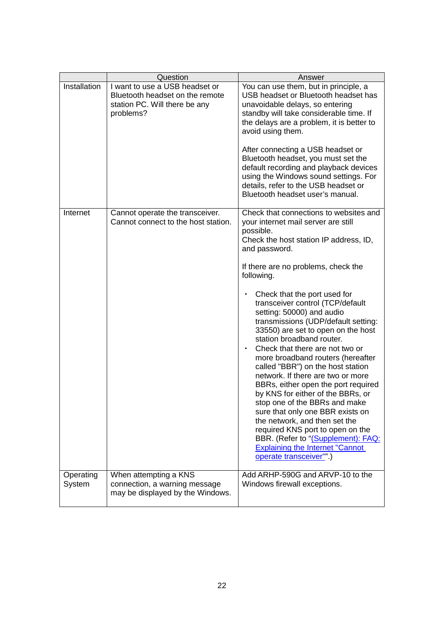|                     | Question                                                                                                        | Answer                                                                                                                                                                                                                                                                                                                                                                                                                                                                                                                                                                                                                                                                                                                                                                                                                                                                                                   |
|---------------------|-----------------------------------------------------------------------------------------------------------------|----------------------------------------------------------------------------------------------------------------------------------------------------------------------------------------------------------------------------------------------------------------------------------------------------------------------------------------------------------------------------------------------------------------------------------------------------------------------------------------------------------------------------------------------------------------------------------------------------------------------------------------------------------------------------------------------------------------------------------------------------------------------------------------------------------------------------------------------------------------------------------------------------------|
| Installation        | I want to use a USB headset or<br>Bluetooth headset on the remote<br>station PC. Will there be any<br>problems? | You can use them, but in principle, a<br>USB headset or Bluetooth headset has<br>unavoidable delays, so entering<br>standby will take considerable time. If<br>the delays are a problem, it is better to<br>avoid using them.<br>After connecting a USB headset or<br>Bluetooth headset, you must set the<br>default recording and playback devices<br>using the Windows sound settings. For<br>details, refer to the USB headset or<br>Bluetooth headset user's manual.                                                                                                                                                                                                                                                                                                                                                                                                                                 |
| Internet            | Cannot operate the transceiver.<br>Cannot connect to the host station.                                          | Check that connections to websites and<br>your internet mail server are still<br>possible.<br>Check the host station IP address, ID,<br>and password.<br>If there are no problems, check the<br>following.<br>Check that the port used for<br>transceiver control (TCP/default<br>setting: 50000) and audio<br>transmissions (UDP/default setting:<br>33550) are set to open on the host<br>station broadband router.<br>Check that there are not two or<br>more broadband routers (hereafter<br>called "BBR") on the host station<br>network. If there are two or more<br>BBRs, either open the port required<br>by KNS for either of the BBRs, or<br>stop one of the BBRs and make<br>sure that only one BBR exists on<br>the network, and then set the<br>required KNS port to open on the<br>BBR. (Refer to "(Supplement): FAQ:<br><b>Explaining the Internet "Cannot</b><br>operate transceiver"".) |
| Operating<br>System | When attempting a KNS<br>connection, a warning message<br>may be displayed by the Windows.                      | Add ARHP-590G and ARVP-10 to the<br>Windows firewall exceptions.                                                                                                                                                                                                                                                                                                                                                                                                                                                                                                                                                                                                                                                                                                                                                                                                                                         |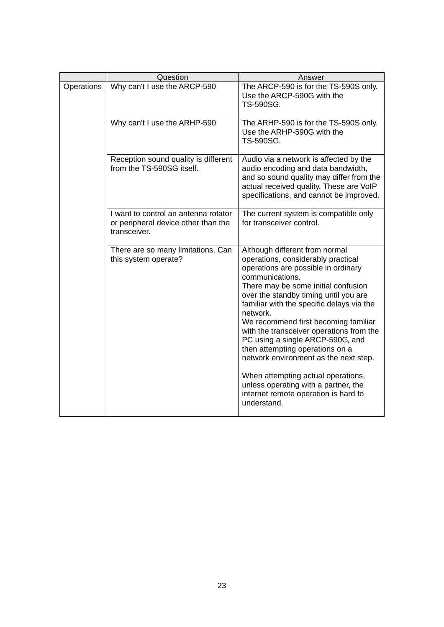|                   | Question                                                                                    |                                                                                                                                                                                                                                                                                                                                                                                                                                                                                                                                                                                                                  |
|-------------------|---------------------------------------------------------------------------------------------|------------------------------------------------------------------------------------------------------------------------------------------------------------------------------------------------------------------------------------------------------------------------------------------------------------------------------------------------------------------------------------------------------------------------------------------------------------------------------------------------------------------------------------------------------------------------------------------------------------------|
|                   |                                                                                             | Answer                                                                                                                                                                                                                                                                                                                                                                                                                                                                                                                                                                                                           |
| <b>Operations</b> | Why can't I use the ARCP-590                                                                | The ARCP-590 is for the TS-590S only.<br>Use the ARCP-590G with the<br><b>TS-590SG.</b>                                                                                                                                                                                                                                                                                                                                                                                                                                                                                                                          |
|                   | Why can't I use the ARHP-590                                                                | The ARHP-590 is for the TS-590S only.<br>Use the ARHP-590G with the<br>TS-590SG.                                                                                                                                                                                                                                                                                                                                                                                                                                                                                                                                 |
|                   | Reception sound quality is different<br>from the TS-590SG itself.                           | Audio via a network is affected by the<br>audio encoding and data bandwidth,<br>and so sound quality may differ from the<br>actual received quality. These are VoIP<br>specifications, and cannot be improved.                                                                                                                                                                                                                                                                                                                                                                                                   |
|                   | I want to control an antenna rotator<br>or peripheral device other than the<br>transceiver. | The current system is compatible only<br>for transceiver control.                                                                                                                                                                                                                                                                                                                                                                                                                                                                                                                                                |
|                   | There are so many limitations. Can<br>this system operate?                                  | Although different from normal<br>operations, considerably practical<br>operations are possible in ordinary<br>communications.<br>There may be some initial confusion<br>over the standby timing until you are<br>familiar with the specific delays via the<br>network.<br>We recommend first becoming familiar<br>with the transceiver operations from the<br>PC using a single ARCP-590G, and<br>then attempting operations on a<br>network environment as the next step.<br>When attempting actual operations,<br>unless operating with a partner, the<br>internet remote operation is hard to<br>understand. |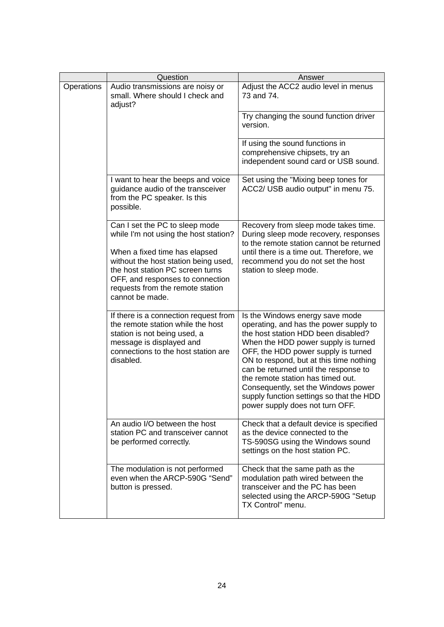|            | Question                                                                                                                                                                                             | Answer                                                                                                                                                                                                                                                                                                                                                                                                                                        |
|------------|------------------------------------------------------------------------------------------------------------------------------------------------------------------------------------------------------|-----------------------------------------------------------------------------------------------------------------------------------------------------------------------------------------------------------------------------------------------------------------------------------------------------------------------------------------------------------------------------------------------------------------------------------------------|
| Operations | Audio transmissions are noisy or<br>small. Where should I check and<br>adjust?                                                                                                                       | Adjust the ACC2 audio level in menus<br>73 and 74.                                                                                                                                                                                                                                                                                                                                                                                            |
|            |                                                                                                                                                                                                      | Try changing the sound function driver<br>version.                                                                                                                                                                                                                                                                                                                                                                                            |
|            |                                                                                                                                                                                                      | If using the sound functions in<br>comprehensive chipsets, try an<br>independent sound card or USB sound.                                                                                                                                                                                                                                                                                                                                     |
|            | I want to hear the beeps and voice<br>guidance audio of the transceiver<br>from the PC speaker. Is this<br>possible.                                                                                 | Set using the "Mixing beep tones for<br>ACC2/ USB audio output" in menu 75.                                                                                                                                                                                                                                                                                                                                                                   |
|            | Can I set the PC to sleep mode<br>while I'm not using the host station?                                                                                                                              | Recovery from sleep mode takes time.<br>During sleep mode recovery, responses<br>to the remote station cannot be returned                                                                                                                                                                                                                                                                                                                     |
|            | When a fixed time has elapsed<br>without the host station being used,<br>the host station PC screen turns<br>OFF, and responses to connection<br>requests from the remote station<br>cannot be made. | until there is a time out. Therefore, we<br>recommend you do not set the host<br>station to sleep mode.                                                                                                                                                                                                                                                                                                                                       |
|            | If there is a connection request from<br>the remote station while the host<br>station is not being used, a<br>message is displayed and<br>connections to the host station are<br>disabled.           | Is the Windows energy save mode<br>operating, and has the power supply to<br>the host station HDD been disabled?<br>When the HDD power supply is turned<br>OFF, the HDD power supply is turned<br>ON to respond, but at this time nothing<br>can be returned until the response to<br>the remote station has timed out.<br>Consequently, set the Windows power<br>supply function settings so that the HDD<br>power supply does not turn OFF. |
|            | An audio I/O between the host<br>station PC and transceiver cannot<br>be performed correctly.                                                                                                        | Check that a default device is specified<br>as the device connected to the<br>TS-590SG using the Windows sound<br>settings on the host station PC.                                                                                                                                                                                                                                                                                            |
|            | The modulation is not performed<br>even when the ARCP-590G "Send"<br>button is pressed.                                                                                                              | Check that the same path as the<br>modulation path wired between the<br>transceiver and the PC has been<br>selected using the ARCP-590G "Setup<br>TX Control" menu.                                                                                                                                                                                                                                                                           |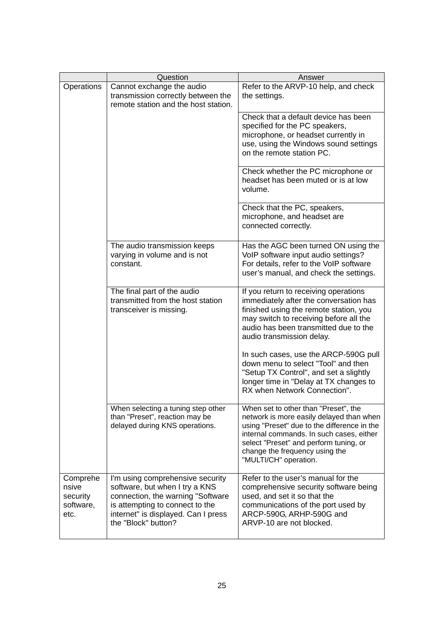|                                                    | Question                                                                                                                                                                                                 | Answer                                                                                                                                                                                                                                                                           |
|----------------------------------------------------|----------------------------------------------------------------------------------------------------------------------------------------------------------------------------------------------------------|----------------------------------------------------------------------------------------------------------------------------------------------------------------------------------------------------------------------------------------------------------------------------------|
| Operations                                         | Cannot exchange the audio<br>transmission correctly between the<br>remote station and the host station.                                                                                                  | Refer to the ARVP-10 help, and check<br>the settings.                                                                                                                                                                                                                            |
|                                                    |                                                                                                                                                                                                          | Check that a default device has been<br>specified for the PC speakers,<br>microphone, or headset currently in<br>use, using the Windows sound settings<br>on the remote station PC.                                                                                              |
|                                                    |                                                                                                                                                                                                          | Check whether the PC microphone or<br>headset has been muted or is at low<br>volume.                                                                                                                                                                                             |
|                                                    |                                                                                                                                                                                                          | Check that the PC, speakers,<br>microphone, and headset are<br>connected correctly.                                                                                                                                                                                              |
|                                                    | The audio transmission keeps<br>varying in volume and is not<br>constant.                                                                                                                                | Has the AGC been turned ON using the<br>VoIP software input audio settings?<br>For details, refer to the VoIP software<br>user's manual, and check the settings.                                                                                                                 |
|                                                    | The final part of the audio<br>transmitted from the host station<br>transceiver is missing.                                                                                                              | If you return to receiving operations<br>immediately after the conversation has<br>finished using the remote station, you<br>may switch to receiving before all the<br>audio has been transmitted due to the<br>audio transmission delay.                                        |
|                                                    |                                                                                                                                                                                                          | In such cases, use the ARCP-590G pull<br>down menu to select "Tool" and then<br>"Setup TX Control", and set a slightly<br>longer time in "Delay at TX changes to<br>RX when Network Connection".                                                                                 |
|                                                    | When selecting a tuning step other<br>than "Preset", reaction may be<br>delayed during KNS operations.                                                                                                   | When set to other than "Preset", the<br>network is more easily delayed than when<br>using "Preset" due to the difference in the<br>internal commands. In such cases, either<br>select "Preset" and perform tuning, or<br>change the frequency using the<br>"MULTI/CH" operation. |
| Comprehe<br>nsive<br>security<br>software,<br>etc. | I'm using comprehensive security<br>software, but when I try a KNS<br>connection, the warning "Software<br>is attempting to connect to the<br>internet" is displayed. Can I press<br>the "Block" button? | Refer to the user's manual for the<br>comprehensive security software being<br>used, and set it so that the<br>communications of the port used by<br>ARCP-590G, ARHP-590G and<br>ARVP-10 are not blocked.                                                                        |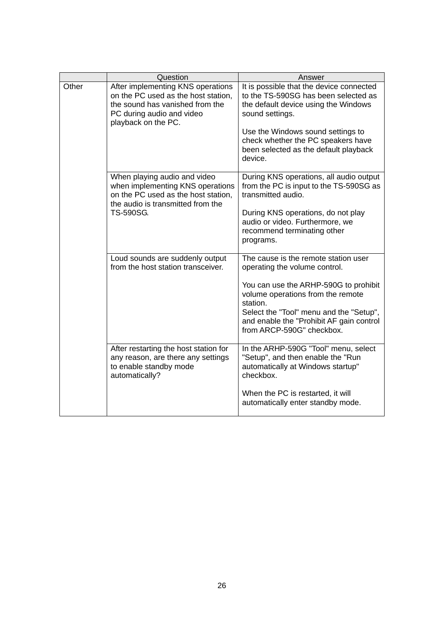|       | Question                                                                                                                                                         | Answer                                                                                                                                                                                                                                                                              |
|-------|------------------------------------------------------------------------------------------------------------------------------------------------------------------|-------------------------------------------------------------------------------------------------------------------------------------------------------------------------------------------------------------------------------------------------------------------------------------|
| Other | After implementing KNS operations<br>on the PC used as the host station,<br>the sound has vanished from the<br>PC during audio and video<br>playback on the PC.  | It is possible that the device connected<br>to the TS-590SG has been selected as<br>the default device using the Windows<br>sound settings.<br>Use the Windows sound settings to<br>check whether the PC speakers have<br>been selected as the default playback<br>device.          |
|       | When playing audio and video<br>when implementing KNS operations<br>on the PC used as the host station,<br>the audio is transmitted from the<br><b>TS-590SG.</b> | During KNS operations, all audio output<br>from the PC is input to the TS-590SG as<br>transmitted audio.<br>During KNS operations, do not play<br>audio or video. Furthermore, we<br>recommend terminating other<br>programs.                                                       |
|       | Loud sounds are suddenly output<br>from the host station transceiver.                                                                                            | The cause is the remote station user<br>operating the volume control.<br>You can use the ARHP-590G to prohibit<br>volume operations from the remote<br>station.<br>Select the "Tool" menu and the "Setup",<br>and enable the "Prohibit AF gain control<br>from ARCP-590G" checkbox. |
|       | After restarting the host station for<br>any reason, are there any settings<br>to enable standby mode<br>automatically?                                          | In the ARHP-590G "Tool" menu, select<br>"Setup", and then enable the "Run<br>automatically at Windows startup"<br>checkbox.<br>When the PC is restarted, it will<br>automatically enter standby mode.                                                                               |